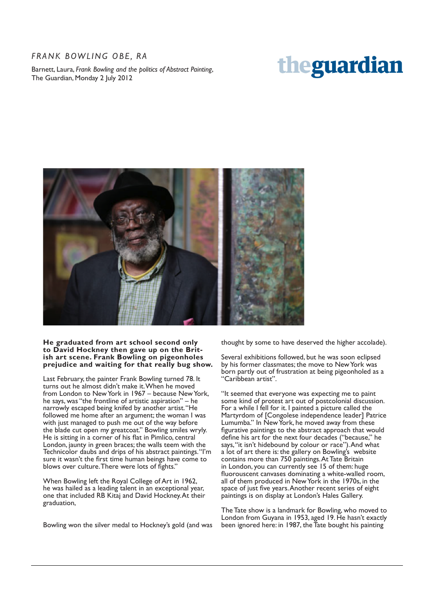## *FRANK BOWLING OBE, RA*

Barnett, Laura, *Frank Bowling and the politics of Abstract Painting*, The Guardian, Monday 2 July 2012

## theguardian



## **He graduated from art school second only to David Hockney then gave up on the British art scene. Frank Bowling on pigeonholes prejudice and waiting for that really bug show.**

Last February, the painter Frank Bowling turned 78. It turns out he almost didn't make it. When he moved from London to New York in 1967 – because New York, he says, was "the frontline of artistic aspiration" – he narrowly escaped being knifed by another artist. "He followed me home after an argument; the woman I was with just managed to push me out of the way before the blade cut open my greatcoat." Bowling smiles wryly. He is sitting in a corner of his flat in Pimlico, central London, jaunty in green braces; the walls teem with the Technicolor daubs and drips of his abstract paintings. "I'm sure it wasn't the first time human beings have come to blows over culture. There were lots of fights."

When Bowling left the Royal College of Art in 1962, he was hailed as a leading talent in an exceptional year, one that included RB Kitaj and David Hockney. At their graduation,

Bowling won the silver medal to Hockney's gold (and was

thought by some to have deserved the higher accolade).

Several exhibitions followed, but he was soon eclipsed by his former classmates; the move to New York was born partly out of frustration at being pigeonholed as a "Caribbean artist".

"It seemed that everyone was expecting me to paint some kind of protest art out of postcolonial discussion. For a while I fell for it. I painted a picture called the Martyrdom of [Congolese independence leader] Patrice Lumumba." In New York, he moved away from these figurative paintings to the abstract approach that would define his art for the next four decades ("because," he says, "it isn't hidebound by colour or race"). And what a lot of art there is: the gallery on Bowling's website contains more than 750 paintings. At Tate Britain in London, you can currently see 15 of them: huge fluorouscent canvases dominating a white-walled room, all of them produced in New York in the 1970s, in the space of just five years. Another recent series of eight paintings is on display at London's Hales Gallery.

The Tate show is a landmark for Bowling, who moved to London from Guyana in 1953, aged 19. He hasn't exactly been ignored here: in 1987, the Tate bought his painting